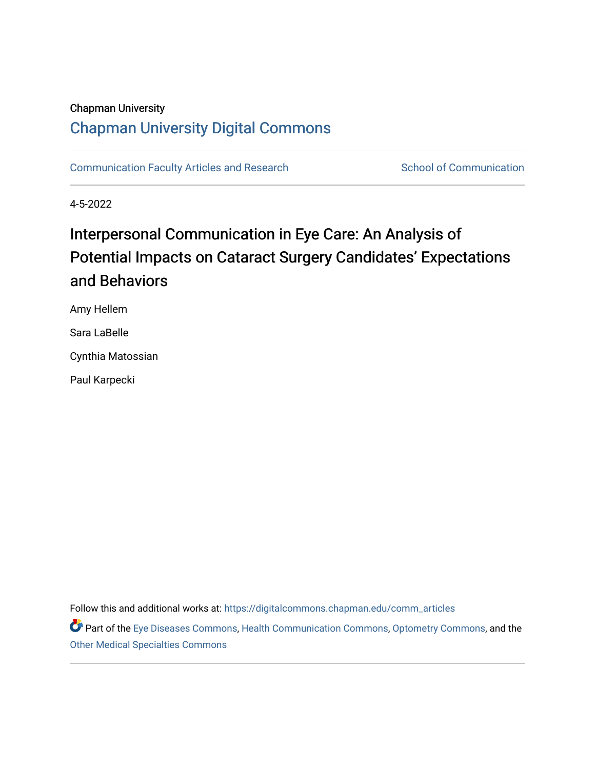#### Chapman University

# [Chapman University Digital Commons](https://digitalcommons.chapman.edu/)

[Communication Faculty Articles and Research](https://digitalcommons.chapman.edu/comm_articles) School of Communication

4-5-2022

# Interpersonal Communication in Eye Care: An Analysis of Potential Impacts on Cataract Surgery Candidates' Expectations and Behaviors

Amy Hellem

Sara LaBelle

Cynthia Matossian

Paul Karpecki

Follow this and additional works at: [https://digitalcommons.chapman.edu/comm\\_articles](https://digitalcommons.chapman.edu/comm_articles?utm_source=digitalcommons.chapman.edu%2Fcomm_articles%2F90&utm_medium=PDF&utm_campaign=PDFCoverPages) 

Part of the [Eye Diseases Commons](http://network.bepress.com/hgg/discipline/957?utm_source=digitalcommons.chapman.edu%2Fcomm_articles%2F90&utm_medium=PDF&utm_campaign=PDFCoverPages), [Health Communication Commons,](http://network.bepress.com/hgg/discipline/330?utm_source=digitalcommons.chapman.edu%2Fcomm_articles%2F90&utm_medium=PDF&utm_campaign=PDFCoverPages) [Optometry Commons,](http://network.bepress.com/hgg/discipline/730?utm_source=digitalcommons.chapman.edu%2Fcomm_articles%2F90&utm_medium=PDF&utm_campaign=PDFCoverPages) and the [Other Medical Specialties Commons](http://network.bepress.com/hgg/discipline/708?utm_source=digitalcommons.chapman.edu%2Fcomm_articles%2F90&utm_medium=PDF&utm_campaign=PDFCoverPages)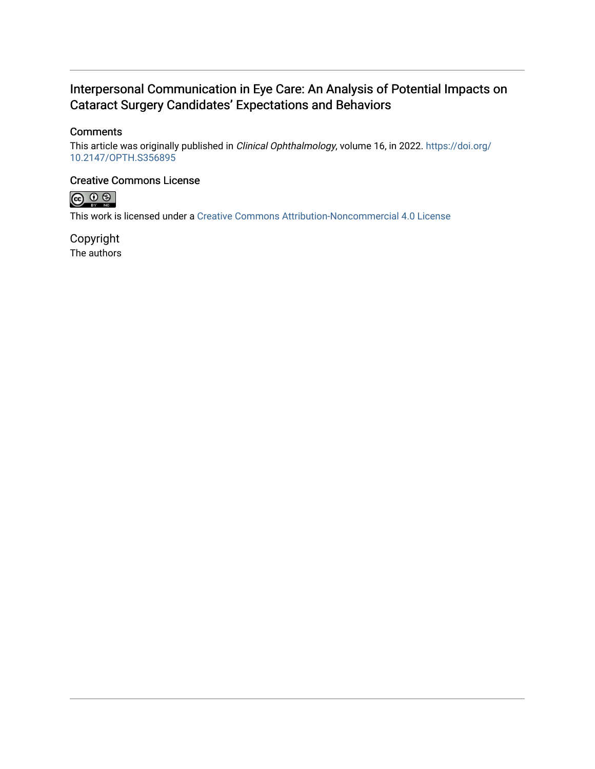## Interpersonal Communication in Eye Care: An Analysis of Potential Impacts on Cataract Surgery Candidates' Expectations and Behaviors

#### **Comments**

This article was originally published in Clinical Ophthalmology, volume 16, in 2022. [https://doi.org/](https://doi.org/10.2147/OPTH.S356895) [10.2147/OPTH.S356895](https://doi.org/10.2147/OPTH.S356895) 

#### Creative Commons License



This work is licensed under a [Creative Commons Attribution-Noncommercial 4.0 License](https://creativecommons.org/licenses/by-nc/4.0/) 

Copyright The authors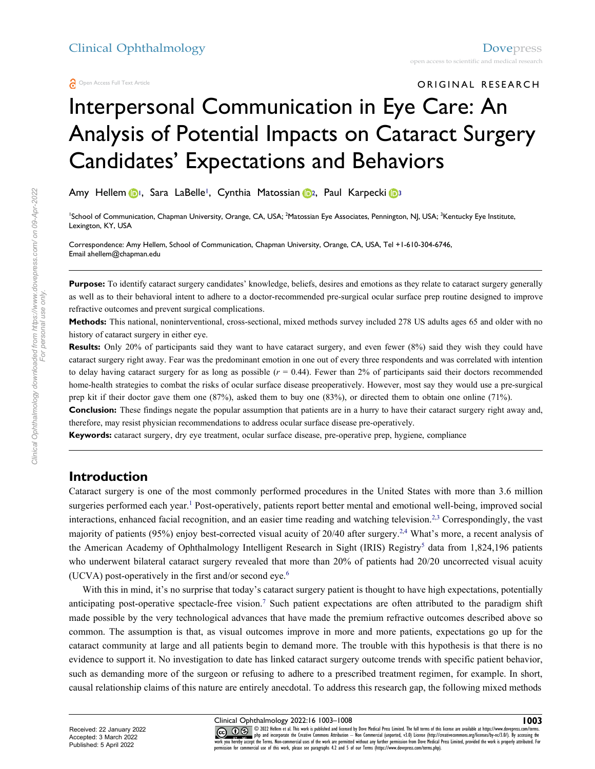# Interpersonal Communication in Eye Care: An Analysis of Potential Impacts on Cataract Surgery Candidates' Expectations and Behaviors

Amy Hellem **1**, Sara LaBelle<sup>1</sup>, Cynthia Matossian <sub>12</sub>, Paul Karpecki <sup>13</sup>

<sup>1</sup>School of Communication, Chapman University, Orange, CA, USA; <sup>2</sup>Matossian Eye Associates, Pennington, NJ, USA; <sup>3</sup>Kentucky Eye Institute, Lexington, KY, USA

Correspondence: Amy Hellem, School of Communication, Chapman University, Orange, CA, USA, Tel +1-610-304-6746, Emai[l ahellem@chapman.edu](mailto:ahellem@chapman.edu)

**Purpose:** To identify cataract surgery candidates' knowledge, beliefs, desires and emotions as they relate to cataract surgery generally as well as to their behavioral intent to adhere to a doctor-recommended pre-surgical ocular surface prep routine designed to improve refractive outcomes and prevent surgical complications.

**Methods:** This national, noninterventional, cross-sectional, mixed methods survey included 278 US adults ages 65 and older with no history of cataract surgery in either eye.

**Results:** Only 20% of participants said they want to have cataract surgery, and even fewer (8%) said they wish they could have cataract surgery right away. Fear was the predominant emotion in one out of every three respondents and was correlated with intention to delay having cataract surgery for as long as possible  $(r = 0.44)$ . Fewer than 2% of participants said their doctors recommended home-health strategies to combat the risks of ocular surface disease preoperatively. However, most say they would use a pre-surgical prep kit if their doctor gave them one (87%), asked them to buy one (83%), or directed them to obtain one online (71%).

**Conclusion:** These findings negate the popular assumption that patients are in a hurry to have their cataract surgery right away and, therefore, may resist physician recommendations to address ocular surface disease pre-operatively.

**Keywords:** cataract surgery, dry eye treatment, ocular surface disease, pre-operative prep, hygiene, compliance

#### **Introduction**

Cataract surgery is one of the most commonly performed procedures in the United States with more than 3.6 million surgeries performed each year.<sup>1</sup> Post-operatively, patients report better mental and emotional well-being, improved social interactions, enhanced facial recognition, and an easier time reading and watching television.2,3 Correspondingly, the vast majority of patients (95%) enjoy best-corrected visual acuity of 20/40 after surgery.<sup>2,4</sup> What's more, a recent analysis of the American Academy of Ophthalmology Intelligent Research in Sight (IRIS) Registry<sup>5</sup> data from 1,824,196 patients who underwent bilateral cataract surgery revealed that more than 20% of patients had 20/20 uncorrected visual acuity (UCVA) post-operatively in the first and/or second eye. $6$ 

With this in mind, it's no surprise that today's cataract surgery patient is thought to have high expectations, potentially anticipating post-operative spectacle-free vision.7 Such patient expectations are often attributed to the paradigm shift made possible by the very technological advances that have made the premium refractive outcomes described above so common. The assumption is that, as visual outcomes improve in more and more patients, expectations go up for the cataract community at large and all patients begin to demand more. The trouble with this hypothesis is that there is no evidence to support it. No investigation to date has linked cataract surgery outcome trends with specific patient behavior, such as demanding more of the surgeon or refusing to adhere to a prescribed treatment regimen, for example. In short, causal relationship claims of this nature are entirely anecdotal. To address this research gap, the following mixed methods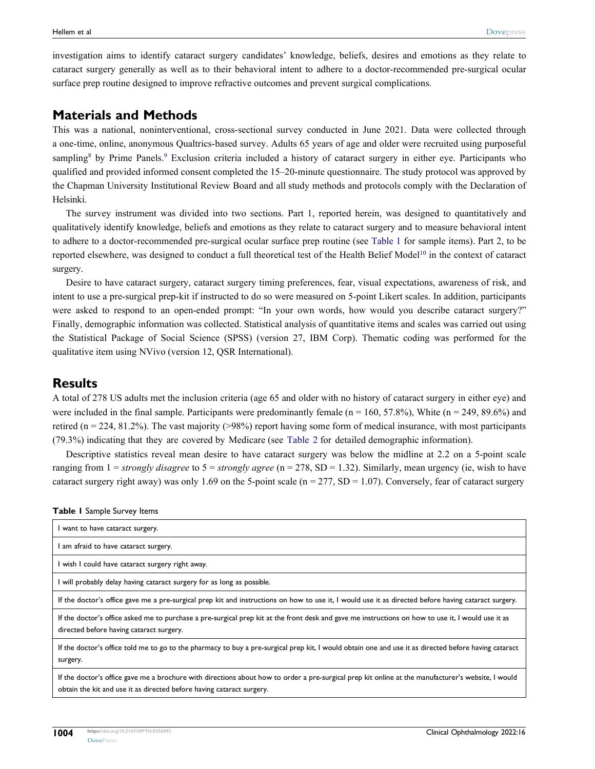investigation aims to identify cataract surgery candidates' knowledge, beliefs, desires and emotions as they relate to cataract surgery generally as well as to their behavioral intent to adhere to a doctor-recommended pre-surgical ocular surface prep routine designed to improve refractive outcomes and prevent surgical complications.

### **Materials and Methods**

This was a national, noninterventional, cross-sectional survey conducted in June 2021. Data were collected through a one-time, online, anonymous Qualtrics-based survey. Adults 65 years of age and older were recruited using purposeful sampling<sup>8</sup> by Prime Panels.<sup>9</sup> Exclusion criteria included a history of cataract surgery in either eye. Participants who qualified and provided informed consent completed the 15–20-minute questionnaire. The study protocol was approved by the Chapman University Institutional Review Board and all study methods and protocols comply with the Declaration of Helsinki.

The survey instrument was divided into two sections. Part 1, reported herein, was designed to quantitatively and qualitatively identify knowledge, beliefs and emotions as they relate to cataract surgery and to measure behavioral intent to adhere to a doctor-recommended pre-surgical ocular surface prep routine (see Table 1 for sample items). Part 2, to be reported elsewhere, was designed to conduct a full theoretical test of the Health Belief Model<sup>10</sup> in the context of cataract surgery.

Desire to have cataract surgery, cataract surgery timing preferences, fear, visual expectations, awareness of risk, and intent to use a pre-surgical prep-kit if instructed to do so were measured on 5-point Likert scales. In addition, participants were asked to respond to an open-ended prompt: "In your own words, how would you describe cataract surgery?" Finally, demographic information was collected. Statistical analysis of quantitative items and scales was carried out using the Statistical Package of Social Science (SPSS) (version 27, IBM Corp). Thematic coding was performed for the qualitative item using NVivo (version 12, QSR International).

#### **Results**

A total of 278 US adults met the inclusion criteria (age 65 and older with no history of cataract surgery in either eye) and were included in the final sample. Participants were predominantly female ( $n = 160$ , 57.8%), White ( $n = 249, 89.6\%$ ) and retired ( $n = 224, 81.2\%$ ). The vast majority (>98%) report having some form of medical insurance, with most participants (79.3%) indicating that they are covered by Medicare (see Table 2 for detailed demographic information).

Descriptive statistics reveal mean desire to have cataract surgery was below the midline at 2.2 on a 5-point scale ranging from 1 = *strongly disagree* to 5 = *strongly agree* (n = 278, SD = 1.32). Similarly, mean urgency (ie, wish to have cataract surgery right away) was only 1.69 on the 5-point scale ( $n = 277$ , SD = 1.07). Conversely, fear of cataract surgery

| I want to have cataract surgery.                                                                                                                                                                                            |
|-----------------------------------------------------------------------------------------------------------------------------------------------------------------------------------------------------------------------------|
| I am afraid to have cataract surgery.                                                                                                                                                                                       |
| I wish I could have cataract surgery right away.                                                                                                                                                                            |
| I will probably delay having cataract surgery for as long as possible.                                                                                                                                                      |
| If the doctor's office gave me a pre-surgical prep kit and instructions on how to use it, I would use it as directed before having cataract surgery.                                                                        |
| If the doctor's office asked me to purchase a pre-surgical prep kit at the front desk and gave me instructions on how to use it, I would use it as<br>directed before having cataract surgery.                              |
| If the doctor's office told me to go to the pharmacy to buy a pre-surgical prep kit, I would obtain one and use it as directed before having cataract<br>surgery.                                                           |
| If the doctor's office gave me a brochure with directions about how to order a pre-surgical prep kit online at the manufacturer's website, I would<br>obtain the kit and use it as directed before having cataract surgery. |

|  |  | Table I Sample Survey Items |  |  |
|--|--|-----------------------------|--|--|
|--|--|-----------------------------|--|--|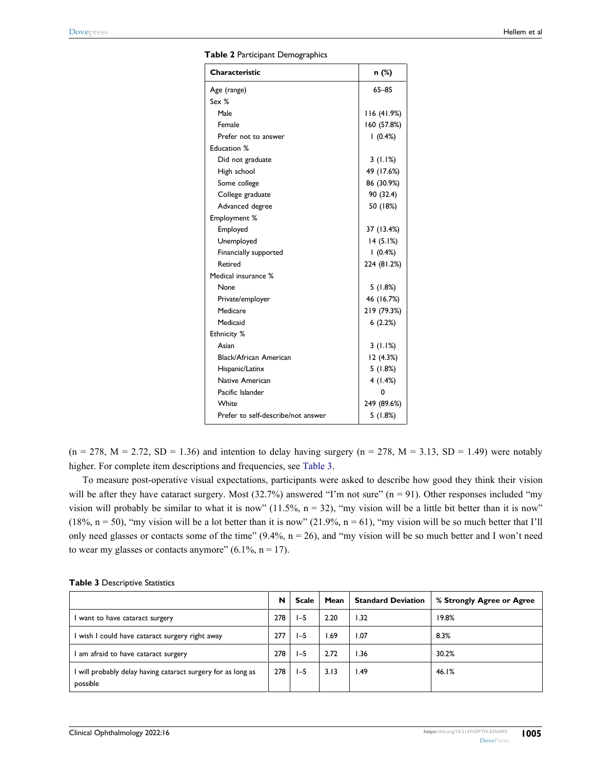| Table 2 Participant Demographics |  |
|----------------------------------|--|
|----------------------------------|--|

| Characteristic                     | n (%)       |
|------------------------------------|-------------|
| Age (range)                        | $65 - 85$   |
| Sex %                              |             |
| Male                               | 116 (41.9%) |
| Female                             | 160 (57.8%) |
| Prefer not to answer               | 1(0.4%)     |
| <b>Education %</b>                 |             |
| Did not graduate                   | 3(1.1%)     |
| High school                        | 49 (17.6%)  |
| Some college                       | 86 (30.9%)  |
| College graduate                   | 90 (32.4)   |
| Advanced degree                    | 50 (18%)    |
| Employment %                       |             |
| Employed                           | 37 (13.4%)  |
| Unemployed                         | 14(5.1%)    |
| Financially supported              | 1(0.4%)     |
| Retired                            | 224 (81.2%) |
| Medical insurance %                |             |
| None                               | 5(1.8%)     |
| Private/employer                   | 46 (16.7%)  |
| Medicare                           | 219 (79.3%) |
| Medicaid                           | 6(2.2%)     |
| Ethnicity %                        |             |
| Asian                              | 3(1.1%)     |
| <b>Black/African American</b>      | 12 (4.3%)   |
| Hispanic/Latinx                    | 5(1.8%)     |
| Native American                    | 4(1.4%)     |
| Pacific Islander                   | 0           |
| White                              | 249 (89.6%) |
| Prefer to self-describe/not answer | 5(1.8%)     |

 $(n = 278, M = 2.72, SD = 1.36)$  and intention to delay having surgery  $(n = 278, M = 3.13, SD = 1.49)$  were notably higher. For complete item descriptions and frequencies, see Table 3.

To measure post-operative visual expectations, participants were asked to describe how good they think their vision will be after they have cataract surgery. Most  $(32.7%)$  answered "I'm not sure" (n = 91). Other responses included "my vision will probably be similar to what it is now"  $(11.5\%, n = 32)$ , "my vision will be a little bit better than it is now" (18%,  $n = 50$ ), "my vision will be a lot better than it is now" (21.9%,  $n = 61$ ), "my vision will be so much better that I'll only need glasses or contacts some of the time"  $(9.4\%, n = 26)$ , and "my vision will be so much better and I won't need to wear my glasses or contacts anymore" (6.1%,  $n = 17$ ).

|                                                                        | N | <b>Scale</b> | Mean | <b>Standard Deviation</b> | % Strongly Agree or Agree |
|------------------------------------------------------------------------|---|--------------|------|---------------------------|---------------------------|
| want to have cataract surgery                                          |   | 1-5          | 2.20 | 1.32                      | 19.8%                     |
| wish I could have cataract surgery right away                          |   | 1-5          | 1.69 | 1.07                      | 8.3%                      |
| am afraid to have cataract surgery                                     |   | 1-5          | 2.72 | l.36                      | 30.2%                     |
| will probably delay having cataract surgery for as long as<br>possible |   | $I - 5$      | 3.13 | .49                       | 46.1%                     |

#### **Table 3** Descriptive Statistics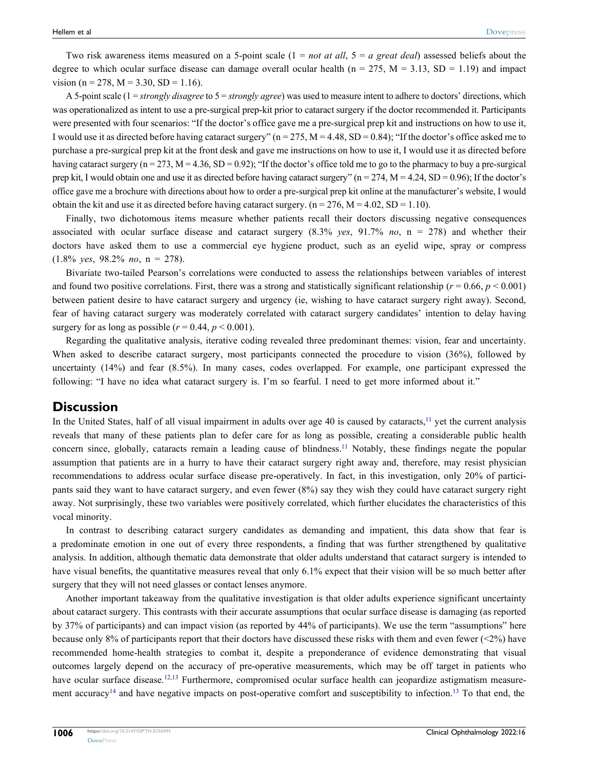Two risk awareness items measured on a 5-point scale (1 = *not at all*, 5 = *a great deal*) assessed beliefs about the degree to which ocular surface disease can damage overall ocular health ( $n = 275$ ,  $M = 3.13$ , SD = 1.19) and impact vision (n = 278, M = 3.30, SD = 1.16).

A 5-point scale (1 = *strongly disagree* to 5 = *strongly agree*) was used to measure intent to adhere to doctors' directions, which was operationalized as intent to use a pre-surgical prep-kit prior to cataract surgery if the doctor recommended it. Participants were presented with four scenarios: "If the doctor's office gave me a pre-surgical prep kit and instructions on how to use it, I would use it as directed before having cataract surgery"  $(n = 275, M = 4.48, SD = 0.84)$ ; "If the doctor's office asked me to purchase a pre-surgical prep kit at the front desk and gave me instructions on how to use it, I would use it as directed before having cataract surgery ( $n = 273$ ,  $M = 4.36$ ,  $SD = 0.92$ ); "If the doctor's office told me to go to the pharmacy to buy a pre-surgical prep kit, I would obtain one and use it as directed before having cataract surgery" ( $n = 274$ ,  $M = 4.24$ , SD = 0.96); If the doctor's office gave me a brochure with directions about how to order a pre-surgical prep kit online at the manufacturer's website, I would obtain the kit and use it as directed before having cataract surgery. ( $n = 276$ ,  $M = 4.02$ ,  $SD = 1.10$ ).

Finally, two dichotomous items measure whether patients recall their doctors discussing negative consequences associated with ocular surface disease and cataract surgery (8.3% *yes*, 91.7% *no*, n = 278) and whether their doctors have asked them to use a commercial eye hygiene product, such as an eyelid wipe, spray or compress (1.8% *yes*, 98.2% *no*, n = 278).

Bivariate two-tailed Pearson's correlations were conducted to assess the relationships between variables of interest and found two positive correlations. First, there was a strong and statistically significant relationship ( $r = 0.66$ ,  $p < 0.001$ ) between patient desire to have cataract surgery and urgency (ie, wishing to have cataract surgery right away). Second, fear of having cataract surgery was moderately correlated with cataract surgery candidates' intention to delay having surgery for as long as possible ( $r = 0.44$ ,  $p < 0.001$ ).

Regarding the qualitative analysis, iterative coding revealed three predominant themes: vision, fear and uncertainty. When asked to describe cataract surgery, most participants connected the procedure to vision (36%), followed by uncertainty (14%) and fear (8.5%). In many cases, codes overlapped. For example, one participant expressed the following: "I have no idea what cataract surgery is. I'm so fearful. I need to get more informed about it."

#### **Discussion**

In the United States, half of all visual impairment in adults over age 40 is caused by cataracts,<sup>11</sup> yet the current analysis reveals that many of these patients plan to defer care for as long as possible, creating a considerable public health concern since, globally, cataracts remain a leading cause of blindness.11 Notably, these findings negate the popular assumption that patients are in a hurry to have their cataract surgery right away and, therefore, may resist physician recommendations to address ocular surface disease pre-operatively. In fact, in this investigation, only 20% of participants said they want to have cataract surgery, and even fewer (8%) say they wish they could have cataract surgery right away. Not surprisingly, these two variables were positively correlated, which further elucidates the characteristics of this vocal minority.

In contrast to describing cataract surgery candidates as demanding and impatient, this data show that fear is a predominate emotion in one out of every three respondents, a finding that was further strengthened by qualitative analysis. In addition, although thematic data demonstrate that older adults understand that cataract surgery is intended to have visual benefits, the quantitative measures reveal that only 6.1% expect that their vision will be so much better after surgery that they will not need glasses or contact lenses anymore.

Another important takeaway from the qualitative investigation is that older adults experience significant uncertainty about cataract surgery. This contrasts with their accurate assumptions that ocular surface disease is damaging (as reported by 37% of participants) and can impact vision (as reported by 44% of participants). We use the term "assumptions" here because only 8% of participants report that their doctors have discussed these risks with them and even fewer  $\left( \leq 2\% \right)$  have recommended home-health strategies to combat it, despite a preponderance of evidence demonstrating that visual outcomes largely depend on the accuracy of pre-operative measurements, which may be off target in patients who have ocular surface disease.<sup>12,13</sup> Furthermore, compromised ocular surface health can jeopardize astigmatism measurement accuracy<sup>14</sup> and have negative impacts on post-operative comfort and susceptibility to infection.<sup>13</sup> To that end, the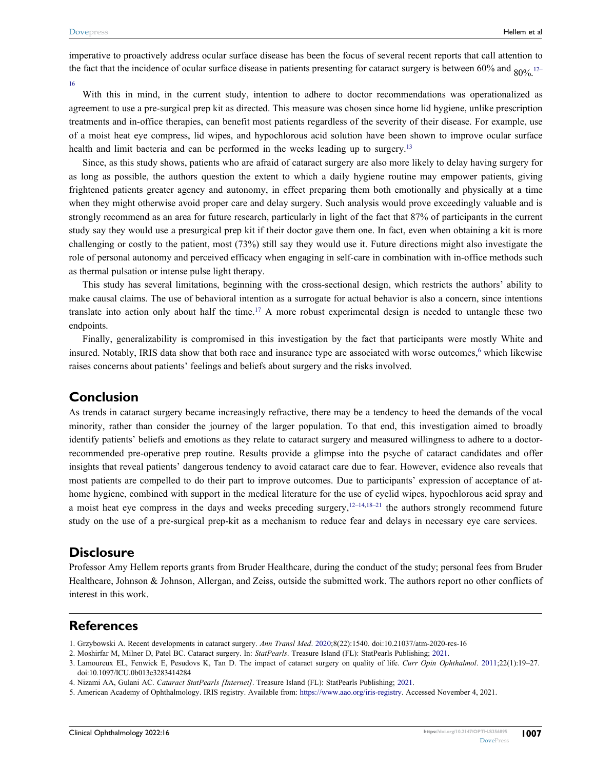imperative to proactively address ocular surface disease has been the focus of several recent reports that call attention to the fact that the incidence of ocular surface disease in patients presenting for cataract surgery is between 60% and  $80\%$  12–

16

With this in mind, in the current study, intention to adhere to doctor recommendations was operationalized as agreement to use a pre-surgical prep kit as directed. This measure was chosen since home lid hygiene, unlike prescription treatments and in-office therapies, can benefit most patients regardless of the severity of their disease. For example, use of a moist heat eye compress, lid wipes, and hypochlorous acid solution have been shown to improve ocular surface health and limit bacteria and can be performed in the weeks leading up to surgery.<sup>13</sup>

Since, as this study shows, patients who are afraid of cataract surgery are also more likely to delay having surgery for as long as possible, the authors question the extent to which a daily hygiene routine may empower patients, giving frightened patients greater agency and autonomy, in effect preparing them both emotionally and physically at a time when they might otherwise avoid proper care and delay surgery. Such analysis would prove exceedingly valuable and is strongly recommend as an area for future research, particularly in light of the fact that 87% of participants in the current study say they would use a presurgical prep kit if their doctor gave them one. In fact, even when obtaining a kit is more challenging or costly to the patient, most (73%) still say they would use it. Future directions might also investigate the role of personal autonomy and perceived efficacy when engaging in self-care in combination with in-office methods such as thermal pulsation or intense pulse light therapy.

This study has several limitations, beginning with the cross-sectional design, which restricts the authors' ability to make causal claims. The use of behavioral intention as a surrogate for actual behavior is also a concern, since intentions translate into action only about half the time.<sup>17</sup> A more robust experimental design is needed to untangle these two endpoints.

Finally, generalizability is compromised in this investigation by the fact that participants were mostly White and insured. Notably, IRIS data show that both race and insurance type are associated with worse outcomes,<sup>6</sup> which likewise raises concerns about patients' feelings and beliefs about surgery and the risks involved.

#### **Conclusion**

As trends in cataract surgery became increasingly refractive, there may be a tendency to heed the demands of the vocal minority, rather than consider the journey of the larger population. To that end, this investigation aimed to broadly identify patients' beliefs and emotions as they relate to cataract surgery and measured willingness to adhere to a doctorrecommended pre-operative prep routine. Results provide a glimpse into the psyche of cataract candidates and offer insights that reveal patients' dangerous tendency to avoid cataract care due to fear. However, evidence also reveals that most patients are compelled to do their part to improve outcomes. Due to participants' expression of acceptance of athome hygiene, combined with support in the medical literature for the use of eyelid wipes, hypochlorous acid spray and a moist heat eye compress in the days and weeks preceding surgery,  $12-14,18-21$  the authors strongly recommend future study on the use of a pre-surgical prep-kit as a mechanism to reduce fear and delays in necessary eye care services.

#### **Disclosure**

Professor Amy Hellem reports grants from Bruder Healthcare, during the conduct of the study; personal fees from Bruder Healthcare, Johnson & Johnson, Allergan, and Zeiss, outside the submitted work. The authors report no other conflicts of interest in this work.

#### **References**

- 1. Grzybowski A. Recent developments in cataract surgery. *Ann Transl Med*. 2020;8(22):1540. [doi:10.21037/atm-2020-rcs-16](https://doi.org/10.21037/atm-2020-rcs-16)
- 2. Moshirfar M, Milner D, Patel BC. Cataract surgery. In: *StatPearls*. Treasure Island (FL): StatPearls Publishing; 2021.

<sup>3.</sup> Lamoureux EL, Fenwick E, Pesudovs K, Tan D. The impact of cataract surgery on quality of life. *Curr Opin Ophthalmol*. 2011;22(1):19–27. [doi:10.1097/ICU.0b013e3283414284](https://doi.org/10.1097/ICU.0b013e3283414284)

<sup>4.</sup> Nizami AA, Gulani AC. *Cataract StatPearls [Internet]*. Treasure Island (FL): StatPearls Publishing; 2021.

<sup>5.</sup> American Academy of Ophthalmology. IRIS registry. Available from: [https://www.aao.org/iris-registry.](https://www.aao.org/iris-registry) Accessed November 4, 2021.